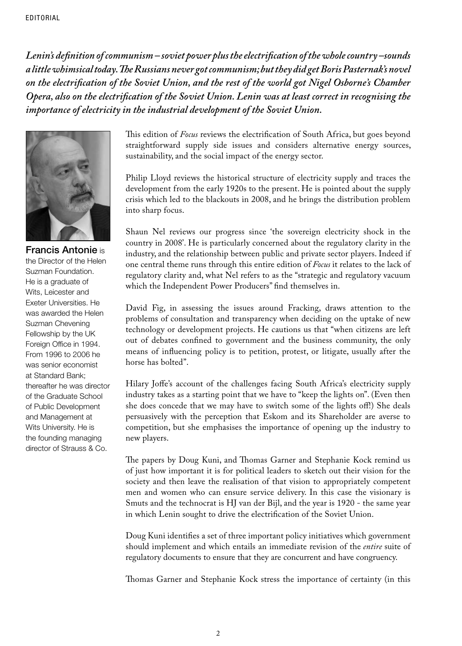*Lenin's definition of communism – soviet power plus the electrification of the whole country –sounds a little whimsical today. The Russians never got communism; but they did get Boris Pasternak's novel on the electrification of the Soviet Union, and the rest of the world got Nigel Osborne's Chamber Opera, also on the electrification of the Soviet Union. Lenin was at least correct in recognising the importance of electricity in the industrial development of the Soviet Union.* 



Francis Antonie is the Director of the Helen Suzman Foundation. He is a graduate of Wits, Leicester and Exeter Universities. He was awarded the Helen Suzman Chevening Fellowship by the UK Foreign Office in 1994. From 1996 to 2006 he was senior economist at Standard Bank; thereafter he was director of the Graduate School of Public Development and Management at Wits University. He is the founding managing director of Strauss & Co.

This edition of *Focus* reviews the electrification of South Africa, but goes beyond straightforward supply side issues and considers alternative energy sources, sustainability, and the social impact of the energy sector.

Philip Lloyd reviews the historical structure of electricity supply and traces the development from the early 1920s to the present. He is pointed about the supply crisis which led to the blackouts in 2008, and he brings the distribution problem into sharp focus.

Shaun Nel reviews our progress since 'the sovereign electricity shock in the country in 2008'. He is particularly concerned about the regulatory clarity in the industry, and the relationship between public and private sector players. Indeed if one central theme runs through this entire edition of *Focus* it relates to the lack of regulatory clarity and, what Nel refers to as the "strategic and regulatory vacuum which the Independent Power Producers" find themselves in.

David Fig, in assessing the issues around Fracking, draws attention to the problems of consultation and transparency when deciding on the uptake of new technology or development projects. He cautions us that "when citizens are left out of debates confined to government and the business community, the only means of influencing policy is to petition, protest, or litigate, usually after the horse has bolted".

Hilary Joffe's account of the challenges facing South Africa's electricity supply industry takes as a starting point that we have to "keep the lights on". (Even then she does concede that we may have to switch some of the lights off!) She deals persuasively with the perception that Eskom and its Shareholder are averse to competition, but she emphasises the importance of opening up the industry to new players.

The papers by Doug Kuni, and Thomas Garner and Stephanie Kock remind us of just how important it is for political leaders to sketch out their vision for the society and then leave the realisation of that vision to appropriately competent men and women who can ensure service delivery. In this case the visionary is Smuts and the technocrat is HJ van der Bijl, and the year is 1920 - the same year in which Lenin sought to drive the electrification of the Soviet Union.

Doug Kuni identifies a set of three important policy initiatives which government should implement and which entails an immediate revision of the *entire* suite of regulatory documents to ensure that they are concurrent and have congruency.

Thomas Garner and Stephanie Kock stress the importance of certainty (in this